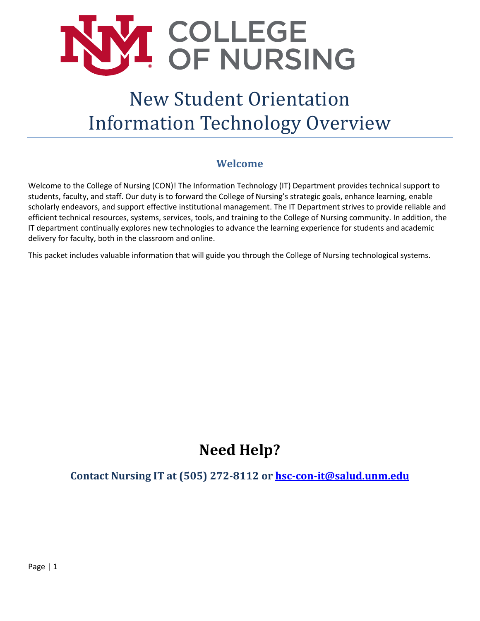

# New Student Orientation Information Technology Overview

## **Welcome**

<span id="page-0-0"></span>Welcome to the College of Nursing (CON)! The Information Technology (IT) Department provides technical support to students, faculty, and staff. Our duty is to forward the College of Nursing's strategic goals, enhance learning, enable scholarly endeavors, and support effective institutional management. The IT Department strives to provide reliable and efficient technical resources, systems, services, tools, and training to the College of Nursing community. In addition, the IT department continually explores new technologies to advance the learning experience for students and academic delivery for faculty, both in the classroom and online.

This packet includes valuable information that will guide you through the College of Nursing technological systems.

## **Need Help?**

<span id="page-0-1"></span>**Contact Nursing IT at (505) 272-8112 or [hsc-con-it@salud.unm.edu](mailto:hsc-con-it@salud.unm.edu)**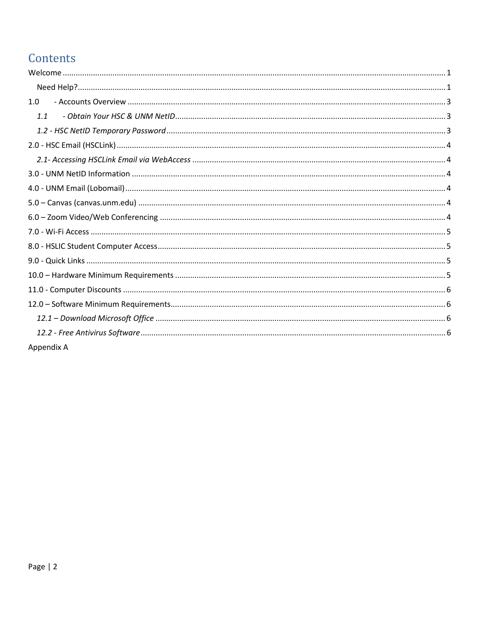## Contents

| 1.0        |
|------------|
| 1.1        |
|            |
|            |
|            |
|            |
|            |
|            |
|            |
|            |
|            |
|            |
|            |
|            |
|            |
|            |
|            |
| Appendix A |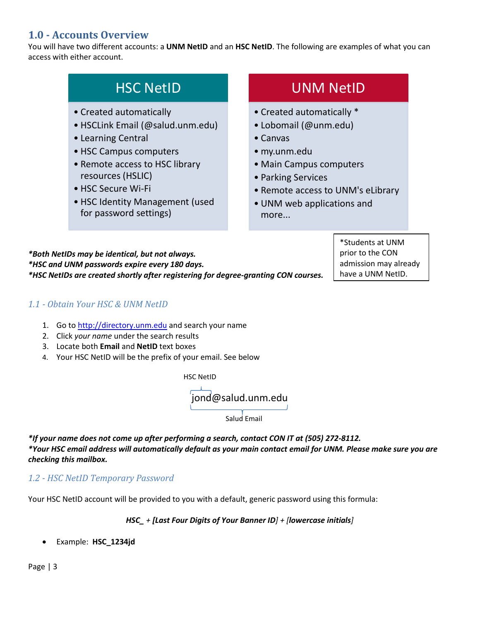## <span id="page-2-0"></span>**1.0 - Accounts Overview**

You will have two different accounts: a **UNM NetID** and an **HSC NetID**. The following are examples of what you can access with either account.

| <b>HSC NetID</b>                 | UNM NetID                         |
|----------------------------------|-----------------------------------|
| • Created automatically          | • Created automatically *         |
| • HSCLink Email (@salud.unm.edu) | • Lobomail (@unm.edu)             |
| • Learning Central               | $\bullet$ Canvas                  |
| • HSC Campus computers           | · my.unm.edu                      |
| • Remote access to HSC library   | • Main Campus computers           |
| resources (HSLIC)                | • Parking Services                |
| • HSC Secure Wi-Fi               | • Remote access to UNM's eLibrary |
| • HSC Identity Management (used  | • UNM web applications and        |
| for password settings)           | more                              |

*\*Both NetIDs may be identical, but not always. \*HSC and UNM passwords expire every 180 days. \*HSC NetIDs are created shortly after registering for degree-granting CON courses.* 

itudents at UNM prior to the CON admission may already have a UNM NetID.

#### <span id="page-2-1"></span>*1.1 - Obtain Your HSC & UNM NetID*

- 1. Go to [http://directory.unm.edu](http://directory.unm.edu/) and search your name
- 2. Click *your name* under the search results
- 3. Locate both **Email** and **NetID** text boxes
- 4. Your HSC NetID will be the prefix of your email. See below



*\*If your name does not come up after performing a search, contact CON IT at (505) 272-8112. \*Your HSC email address will automatically default as your main contact email for UNM. Please make sure you are checking this mailbox.*

<span id="page-2-2"></span>*1.2 - HSC NetID Temporary Password* 

Your HSC NetID account will be provided to you with a default, generic password using this formula:

*HSC\_ + [Last Four Digits of Your Banner ID] + [lowercase initials]*

• Example: **HSC\_1234jd**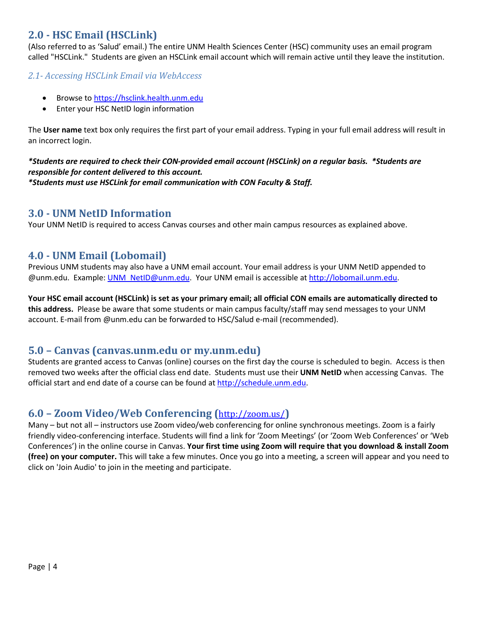## <span id="page-3-0"></span>**2.0 - HSC Email (HSCLink)**

(Also referred to as 'Salud' email.) The entire UNM Health Sciences Center (HSC) community uses an email program called "HSCLink." Students are given an HSCLink email account which will remain active until they leave the institution.

#### <span id="page-3-1"></span>*2.1- Accessing HSCLink Email via WebAccess*

- Browse t[o https://hsclink.health.unm.edu](https://hsclink.health.unm.edu/)
- Enter your HSC NetID login information

The **User name** text box only requires the first part of your email address. Typing in your full email address will result in an incorrect login.

## *\*Students are required to check their CON-provided email account (HSCLink) on a regular basis. \*Students are responsible for content delivered to this account.*

<span id="page-3-2"></span>*\*Students must use HSCLink for email communication with CON Faculty & Staff.*

### **3.0 - UNM NetID Information**

<span id="page-3-3"></span>Your UNM NetID is required to access Canvas courses and other main campus resources as explained above.

## **4.0 - UNM Email (Lobomail)**

Previous UNM students may also have a UNM email account. Your email address is your UNM NetID appended to @unm.edu. Example: [UNM\\_NetID@unm.edu.](mailto:UNM_NetID@unm.edu) Your UNM email is accessible at [http://lobomail.unm.edu.](http://lobomail.unm.edu/)

**Your HSC email account (HSCLink) is set as your primary email; all official CON emails are automatically directed to this address.** Please be aware that some students or main campus faculty/staff may send messages to your UNM account. E-mail from @unm.edu can be forwarded to HSC/Salud e-mail (recommended).

## <span id="page-3-4"></span>**5.0 – Canvas (canvas.unm.edu or my.unm.edu)**

Students are granted access to Canvas (online) courses on the first day the course is scheduled to begin. Access is then removed two weeks after the official class end date. Students must use their **UNM NetID** when accessing Canvas. The official start and end date of a course can be found at [http://schedule.unm.edu.](http://schedule.unm.edu/)

## <span id="page-3-5"></span>**6.0 – Zoom Video/Web Conferencing (**<http://zoom.us/>**)**

Many – but not all – instructors use Zoom video/web conferencing for online synchronous meetings. Zoom is a fairly friendly video-conferencing interface. Students will find a link for 'Zoom Meetings' (or 'Zoom Web Conferences' or 'Web Conferences') in the online course in Canvas. **Your first time using Zoom will require that you download & install Zoom (free) on your computer.** This will take a few minutes. Once you go into a meeting, a screen will appear and you need to click on 'Join Audio' to join in the meeting and participate.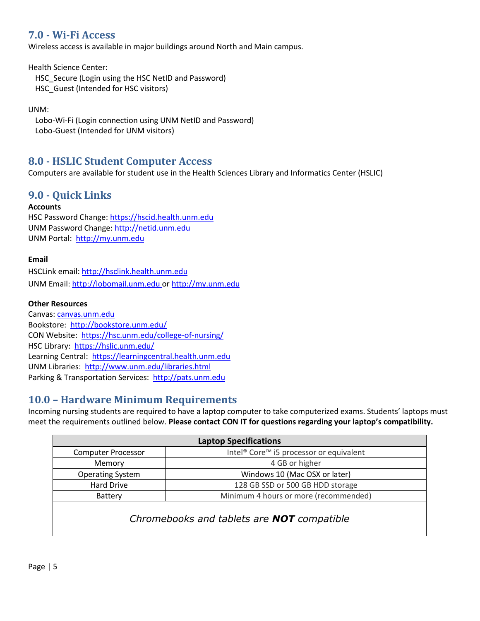## <span id="page-4-0"></span>**7.0 - Wi-Fi Access**

Wireless access is available in major buildings around North and Main campus.

Health Science Center:

HSC Secure (Login using the HSC NetID and Password)

HSC\_Guest (Intended for HSC visitors)

UNM:

Lobo-Wi-Fi (Login connection using UNM NetID and Password) Lobo-Guest (Intended for UNM visitors)

## <span id="page-4-1"></span>**8.0 - HSLIC Student Computer Access**

Computers are available for student use in the Health Sciences Library and Informatics Center (HSLIC)

## <span id="page-4-2"></span>**9.0 - Quick Links**

#### **Accounts**

HSC Password Change: [https://hscid.health.unm.edu](https://hscid.health.unm.edu/) UNM Password Change: [http://netid.unm.edu](http://netid.unm.edu/) UNM Portal: [http://my.unm.edu](http://my.unm.edu/)

#### **Email**

HSCLink email: [http://hsclink.health.unm.edu](http://hsclink.health.unm.edu/) UNM Email: [http://lobomail.unm.edu](http://lobomail.unm.edu/) or [http://my.unm.edu](http://my.unm.edu/)

#### **Other Resources**

Canvas: [canvas.unm.edu](https://canvas.unm.edu/) Bookstore:<http://bookstore.unm.edu/> CON Website:<https://hsc.unm.edu/college-of-nursing/> HSC Library: <https://hslic.unm.edu/> Learning Central: [https://learningcentral.health.unm.edu](https://learningcentral.health.unm.edu/plateau/user/login.jsp) UNM Libraries: <http://www.unm.edu/libraries.html> Parking & Transportation Services: [http://pats.unm.edu](http://pats.unm.edu/)

## <span id="page-4-3"></span>**10.0 – Hardware Minimum Requirements**

Incoming nursing students are required to have a laptop computer to take computerized exams. Students' laptops must meet the requirements outlined below. **Please contact CON IT for questions regarding your laptop's compatibility.** 

| <b>Laptop Specifications</b> |                                                                 |  |
|------------------------------|-----------------------------------------------------------------|--|
| <b>Computer Processor</b>    | Intel <sup>®</sup> Core <sup>™</sup> i5 processor or equivalent |  |
| Memory                       | 4 GB or higher                                                  |  |
| <b>Operating System</b>      | Windows 10 (Mac OSX or later)                                   |  |
| Hard Drive                   | 128 GB SSD or 500 GB HDD storage                                |  |
| Battery                      | Minimum 4 hours or more (recommended)                           |  |
|                              |                                                                 |  |

## *Chromebooks and tablets are NOT compatible*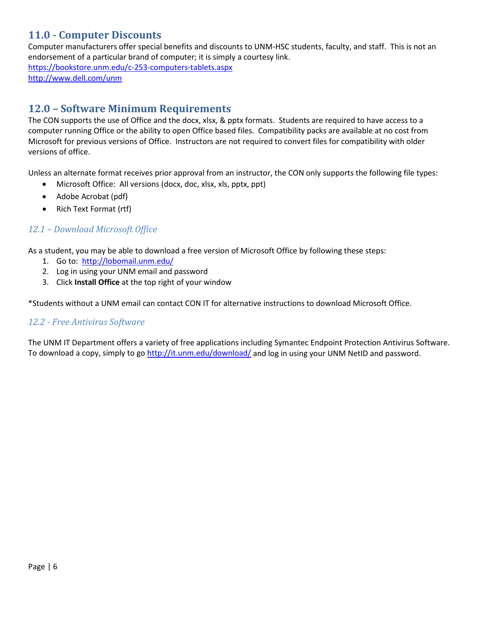## <span id="page-5-0"></span>**11.0 - Computer Discounts**

Computer manufacturers offer special benefits and discounts to UNM-HSC students, faculty, and staff. This is not an endorsement of a particular brand of computer; it is simply a courtesy link.

<span id="page-5-1"></span><https://bookstore.unm.edu/c-253-computers-tablets.aspx> <http://www.dell.com/unm>

## **12.0 – Software Minimum Requirements**

The CON supports the use of Office and the docx, xlsx, & pptx formats. Students are required to have access to a computer running Office or the ability to open Office based files. Compatibility packs are available at no cost from Microsoft for previous versions of Office. Instructors are not required to convert files for compatibility with older versions of office.

Unless an alternate format receives prior approval from an instructor, the CON only supports the following file types:

- Microsoft Office: All versions (docx, doc, xlsx, xls, pptx, ppt)
- Adobe Acrobat (pdf)
- Rich Text Format (rtf)

#### <span id="page-5-2"></span>*12.1 – Download Microsoft Office*

As a student, you may be able to download a free version of Microsoft Office by following these steps:

- 1. Go to: http://lobomail.unm.edu/
- 2. Log in using your UNM email and password
- 3. Click **Install Office** at the top right of your window

<span id="page-5-3"></span>\*Students without a UNM email can contact CON IT for alternative instructions to download Microsoft Office.

#### *12.2 - Free Antivirus Software*

The UNM IT Department offers a variety of free applications including Symantec Endpoint Protection Antivirus Software. To download a copy, simply to go<http://it.unm.edu/download/> and log in using your UNM NetID and password.